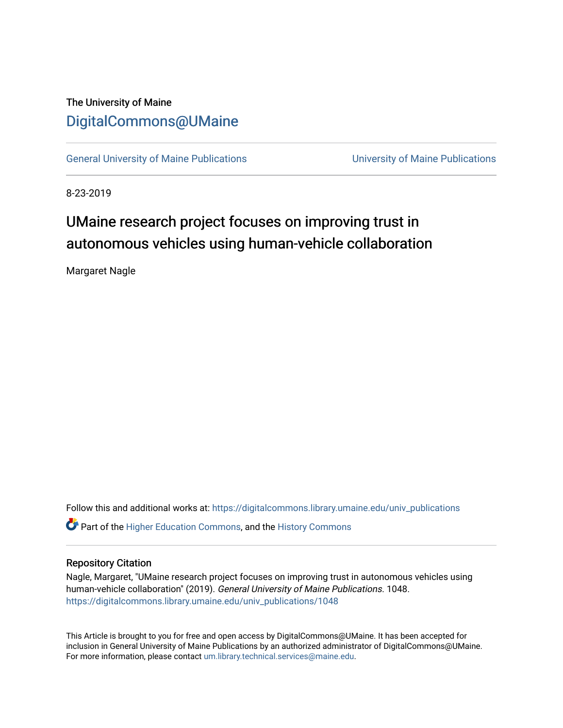## The University of Maine [DigitalCommons@UMaine](https://digitalcommons.library.umaine.edu/)

[General University of Maine Publications](https://digitalcommons.library.umaine.edu/univ_publications) [University of Maine Publications](https://digitalcommons.library.umaine.edu/umaine_publications) 

8-23-2019

## UMaine research project focuses on improving trust in autonomous vehicles using human-vehicle collaboration

Margaret Nagle

Follow this and additional works at: [https://digitalcommons.library.umaine.edu/univ\\_publications](https://digitalcommons.library.umaine.edu/univ_publications?utm_source=digitalcommons.library.umaine.edu%2Funiv_publications%2F1048&utm_medium=PDF&utm_campaign=PDFCoverPages) 

**C** Part of the [Higher Education Commons,](http://network.bepress.com/hgg/discipline/1245?utm_source=digitalcommons.library.umaine.edu%2Funiv_publications%2F1048&utm_medium=PDF&utm_campaign=PDFCoverPages) and the [History Commons](http://network.bepress.com/hgg/discipline/489?utm_source=digitalcommons.library.umaine.edu%2Funiv_publications%2F1048&utm_medium=PDF&utm_campaign=PDFCoverPages)

## Repository Citation

Nagle, Margaret, "UMaine research project focuses on improving trust in autonomous vehicles using human-vehicle collaboration" (2019). General University of Maine Publications. 1048. [https://digitalcommons.library.umaine.edu/univ\\_publications/1048](https://digitalcommons.library.umaine.edu/univ_publications/1048?utm_source=digitalcommons.library.umaine.edu%2Funiv_publications%2F1048&utm_medium=PDF&utm_campaign=PDFCoverPages)

This Article is brought to you for free and open access by DigitalCommons@UMaine. It has been accepted for inclusion in General University of Maine Publications by an authorized administrator of DigitalCommons@UMaine. For more information, please contact [um.library.technical.services@maine.edu](mailto:um.library.technical.services@maine.edu).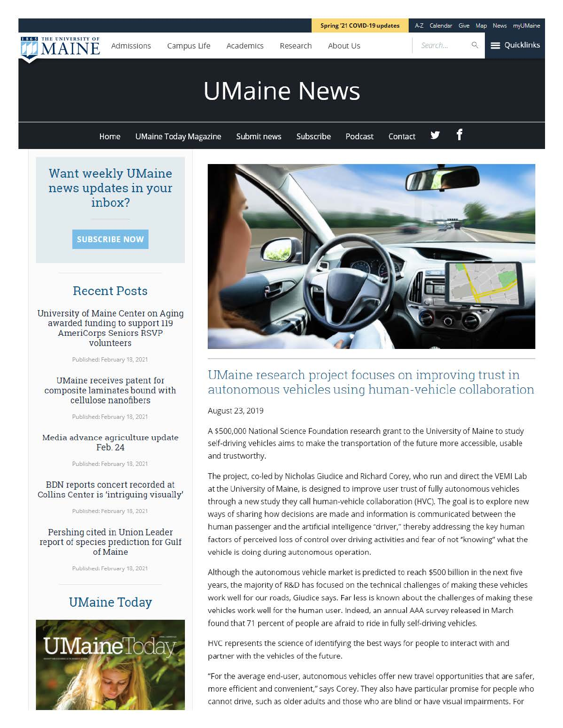